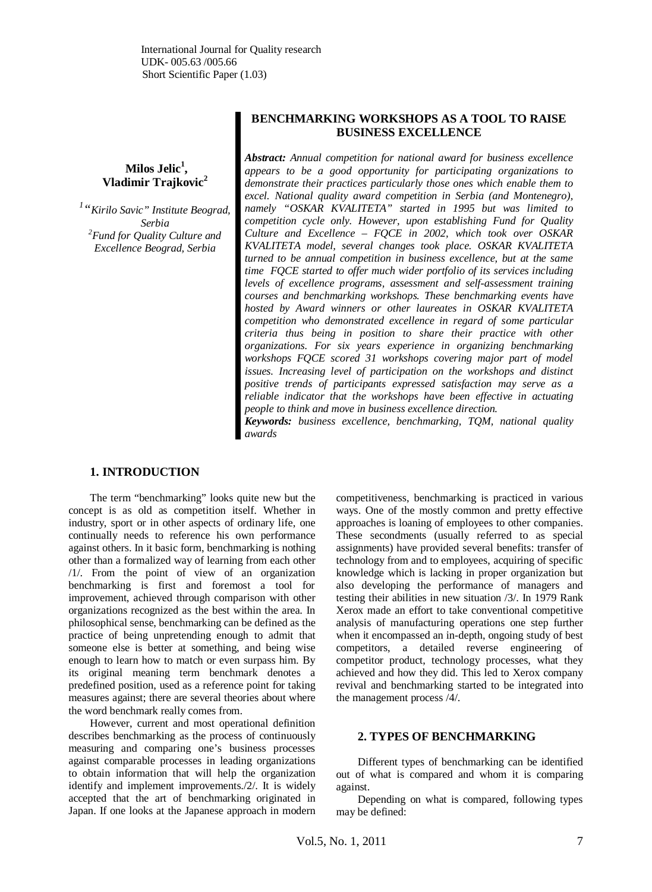**Milos Jelic<sup>1</sup> , Vladimir Trajkovic<sup>2</sup>**

*1 "Kirilo Savic" Institute Beograd, Serbia <sup>2</sup>Fund for Quality Culture and Excellence Beograd, Serbia*

# **BENCHMARKING WORKSHOPS AS A TOOL TO RAISE BUSINESS EXCELLENCE**

*Abstract: Annual competition for national award for business excellence appears to be a good opportunity for participating organizations to demonstrate their practices particularly those ones which enable them to excel. National quality award competition in Serbia (and Montenegro), namely "OSKAR KVALITETA" started in 1995 but was limited to competition cycle only. However, upon establishing Fund for Quality Culture and Excellence – FQCE in 2002, which took over OSKAR KVALITETA model, several changes took place. OSKAR KVALITETA turned to be annual competition in business excellence, but at the same time FQCE started to offer much wider portfolio of its services including levels of excellence programs, assessment and self-assessment training courses and benchmarking workshops. These benchmarking events have hosted by Award winners or other laureates in OSKAR KVALITETA competition who demonstrated excellence in regard of some particular criteria thus being in position to share their practice with other organizations. For six years experience in organizing benchmarking workshops FQCE scored 31 workshops covering major part of model issues. Increasing level of participation on the workshops and distinct positive trends of participants expressed satisfaction may serve as a reliable indicator that the workshops have been effective in actuating people to think and move in business excellence direction.*

*Keywords: business excellence, benchmarking, TQM, national quality awards*

## **1. INTRODUCTION**

The term "benchmarking" looks quite new but the concept is as old as competition itself. Whether in industry, sport or in other aspects of ordinary life, one continually needs to reference his own performance against others. In it basic form, benchmarking is nothing other than a formalized way of learning from each other /1/. From the point of view of an organization benchmarking is first and foremost a tool for improvement, achieved through comparison with other organizations recognized as the best within the area. In philosophical sense, benchmarking can be defined as the practice of being unpretending enough to admit that someone else is better at something, and being wise enough to learn how to match or even surpass him. By its original meaning term benchmark denotes a predefined position, used as a reference point for taking measures against; there are several theories about where the word benchmark really comes from.

However, current and most operational definition describes benchmarking as the process of continuously measuring and comparing one's business processes against comparable processes in leading organizations to obtain information that will help the organization identify and implement improvements./2/. It is widely accepted that the art of benchmarking originated in Japan. If one looks at the Japanese approach in modern competitiveness, benchmarking is practiced in various ways. One of the mostly common and pretty effective approaches is loaning of employees to other companies. These secondments (usually referred to as special assignments) have provided several benefits: transfer of technology from and to employees, acquiring of specific knowledge which is lacking in proper organization but also developing the performance of managers and testing their abilities in new situation /3/. In 1979 Rank Xerox made an effort to take conventional competitive analysis of manufacturing operations one step further when it encompassed an in-depth, ongoing study of best competitors, a detailed reverse engineering of competitor product, technology processes, what they achieved and how they did. This led to Xerox company revival and benchmarking started to be integrated into the management process /4/.

#### **2. TYPES OF BENCHMARKING**

Different types of benchmarking can be identified out of what is compared and whom it is comparing against.

Depending on what is compared, following types may be defined: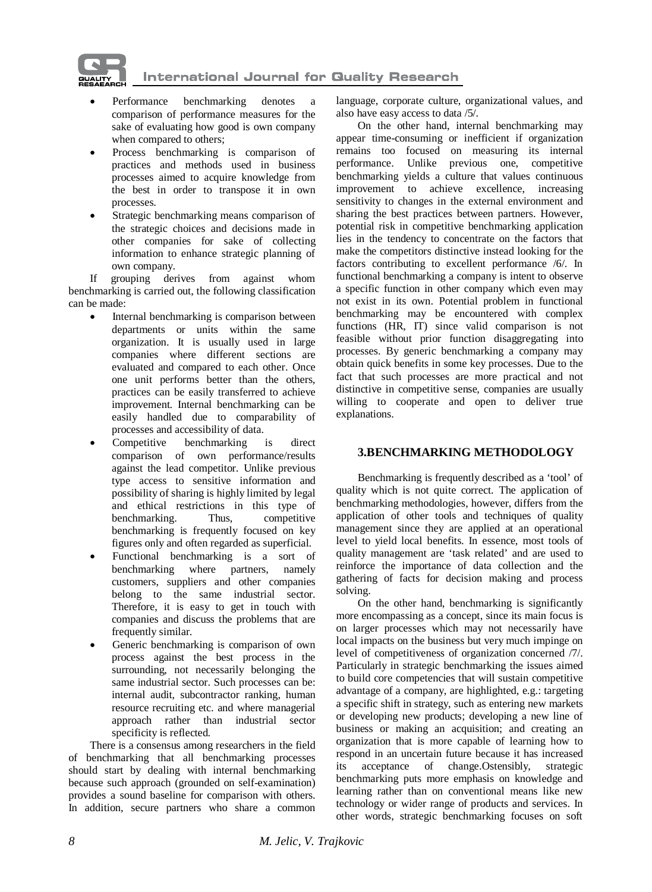

**International Journal for Quality Research** 

- Performance benchmarking denotes a comparison of performance measures for the sake of evaluating how good is own company when compared to others;
- Process benchmarking is comparison of practices and methods used in business processes aimed to acquire knowledge from the best in order to transpose it in own processes.
- Strategic benchmarking means comparison of the strategic choices and decisions made in other companies for sake of collecting information to enhance strategic planning of own company.

If grouping derives from against whom benchmarking is carried out, the following classification can be made:

- Internal benchmarking is comparison between departments or units within the same organization. It is usually used in large companies where different sections are evaluated and compared to each other. Once one unit performs better than the others, practices can be easily transferred to achieve improvement. Internal benchmarking can be easily handled due to comparability of processes and accessibility of data.
- Competitive benchmarking is direct comparison of own performance/results against the lead competitor. Unlike previous type access to sensitive information and possibility of sharing is highly limited by legal and ethical restrictions in this type of benchmarking. Thus, competitive benchmarking. Thus, competitive benchmarking is frequently focused on key figures only and often regarded as superficial.
- x Functional benchmarking is a sort of benchmarking where partners, namely customers, suppliers and other companies belong to the same industrial sector. Therefore, it is easy to get in touch with companies and discuss the problems that are frequently similar.
- Generic benchmarking is comparison of own process against the best process in the surrounding, not necessarily belonging the same industrial sector. Such processes can be: internal audit, subcontractor ranking, human resource recruiting etc. and where managerial approach rather than industrial sector specificity is reflected.

There is a consensus among researchers in the field of benchmarking that all benchmarking processes should start by dealing with internal benchmarking because such approach (grounded on self-examination) provides a sound baseline for comparison with others. In addition, secure partners who share a common

language, corporate culture, organizational values, and also have easy access to data /5/.

On the other hand, internal benchmarking may appear time-consuming or inefficient if organization remains too focused on measuring its internal performance. Unlike previous one, competitive benchmarking yields a culture that values continuous improvement to achieve excellence, increasing sensitivity to changes in the external environment and sharing the best practices between partners. However, potential risk in competitive benchmarking application lies in the tendency to concentrate on the factors that make the competitors distinctive instead looking for the factors contributing to excellent performance /6/. In functional benchmarking a company is intent to observe a specific function in other company which even may not exist in its own. Potential problem in functional benchmarking may be encountered with complex functions (HR, IT) since valid comparison is not feasible without prior function disaggregating into processes. By generic benchmarking a company may obtain quick benefits in some key processes. Due to the fact that such processes are more practical and not distinctive in competitive sense, companies are usually willing to cooperate and open to deliver true explanations.

# **3.BENCHMARKING METHODOLOGY**

Benchmarking is frequently described as a 'tool' of quality which is not quite correct. The application of benchmarking methodologies, however, differs from the application of other tools and techniques of quality management since they are applied at an operational level to yield local benefits. In essence, most tools of quality management are 'task related' and are used to reinforce the importance of data collection and the gathering of facts for decision making and process solving.

On the other hand, benchmarking is significantly more encompassing as a concept, since its main focus is on larger processes which may not necessarily have local impacts on the business but very much impinge on level of competitiveness of organization concerned /7/. Particularly in strategic benchmarking the issues aimed to build core competencies that will sustain competitive advantage of a company, are highlighted, e.g.: targeting a specific shift in strategy, such as entering new markets or developing new products; developing a new line of business or making an acquisition; and creating an organization that is more capable of learning how to respond in an uncertain future because it has increased its acceptance of change.Ostensibly, strategic benchmarking puts more emphasis on knowledge and learning rather than on conventional means like new technology or wider range of products and services. In other words, strategic benchmarking focuses on soft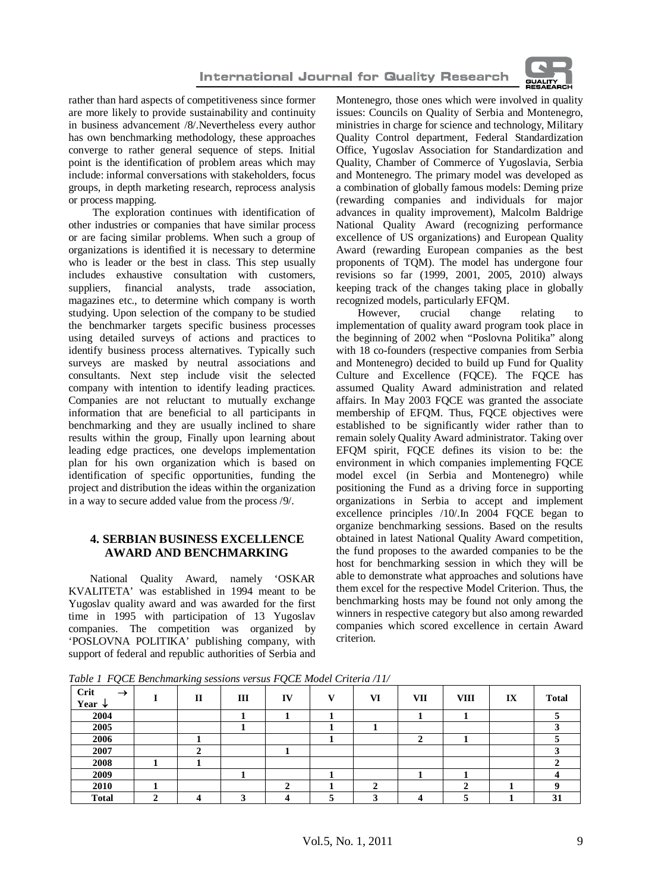

rather than hard aspects of competitiveness since former are more likely to provide sustainability and continuity in business advancement /8/.Nevertheless every author has own benchmarking methodology, these approaches converge to rather general sequence of steps. Initial point is the identification of problem areas which may include: informal conversations with stakeholders, focus groups, in depth marketing research, reprocess analysis or process mapping.

 The exploration continues with identification of other industries or companies that have similar process or are facing similar problems. When such a group of organizations is identified it is necessary to determine who is leader or the best in class. This step usually includes exhaustive consultation with customers, suppliers, financial analysts, trade association, magazines etc., to determine which company is worth studying. Upon selection of the company to be studied the benchmarker targets specific business processes using detailed surveys of actions and practices to identify business process alternatives. Typically such surveys are masked by neutral associations and consultants. Next step include visit the selected company with intention to identify leading practices. Companies are not reluctant to mutually exchange information that are beneficial to all participants in benchmarking and they are usually inclined to share results within the group, Finally upon learning about leading edge practices, one develops implementation plan for his own organization which is based on identification of specific opportunities, funding the project and distribution the ideas within the organization in a way to secure added value from the process /9/.

## **4. SERBIAN BUSINESS EXCELLENCE AWARD AND BENCHMARKING**

National Quality Award, namely 'OSKAR KVALITETA' was established in 1994 meant to be Yugoslav quality award and was awarded for the first time in 1995 with participation of 13 Yugoslav companies. The competition was organized by 'POSLOVNA POLITIKA' publishing company, with support of federal and republic authorities of Serbia and

Montenegro, those ones which were involved in quality issues: Councils on Quality of Serbia and Montenegro, ministries in charge for science and technology, Military Quality Control department, Federal Standardization Office, Yugoslav Association for Standardization and Quality, Chamber of Commerce of Yugoslavia, Serbia and Montenegro. The primary model was developed as a combination of globally famous models: Deming prize (rewarding companies and individuals for major advances in quality improvement), Malcolm Baldrige National Quality Award (recognizing performance excellence of US organizations) and European Quality Award (rewarding European companies as the best proponents of TQM). The model has undergone four revisions so far (1999, 2001, 2005, 2010) always keeping track of the changes taking place in globally recognized models, particularly EFQM.<br>However. crucial change

However, crucial change relating to implementation of quality award program took place in the beginning of 2002 when "Poslovna Politika" along with 18 co-founders (respective companies from Serbia and Montenegro) decided to build up Fund for Quality Culture and Excellence (FQCE). The FQCE has assumed Quality Award administration and related affairs. In May 2003 FQCE was granted the associate membership of EFQM. Thus, FQCE objectives were established to be significantly wider rather than to remain solely Quality Award administrator. Taking over EFQM spirit, FQCE defines its vision to be: the environment in which companies implementing FQCE model excel (in Serbia and Montenegro) while positioning the Fund as a driving force in supporting organizations in Serbia to accept and implement excellence principles /10/.In 2004 FQCE began to organize benchmarking sessions. Based on the results obtained in latest National Quality Award competition, the fund proposes to the awarded companies to be the host for benchmarking session in which they will be able to demonstrate what approaches and solutions have them excel for the respective Model Criterion. Thus, the benchmarking hosts may be found not only among the winners in respective category but also among rewarded companies which scored excellence in certain Award criterion.

*Table 1 FQCE Benchmarking sessions versus FQCE Model Criteria /11/*

| -<br><b>Crit</b><br>$\rightarrow$<br>Year $\downarrow$ | $\sim$<br>$\mathbf{I}$ | Ш | IV | $\overline{\mathbf{x}}$ $\overline{\mathbf{r}}$ | VI | VII | <b>VIII</b> | IX | <b>Total</b> |
|--------------------------------------------------------|------------------------|---|----|-------------------------------------------------|----|-----|-------------|----|--------------|
| 2004                                                   |                        |   |    |                                                 |    |     |             |    |              |
| 2005                                                   |                        |   |    |                                                 |    |     |             |    |              |
| 2006                                                   |                        |   |    |                                                 |    |     |             |    |              |
| 2007                                                   |                        |   |    |                                                 |    |     |             |    |              |
| 2008                                                   |                        |   |    |                                                 |    |     |             |    |              |
| 2009                                                   |                        |   |    |                                                 |    |     |             |    |              |
| 2010                                                   |                        |   | ~  |                                                 | c  |     |             |    |              |
| <b>Total</b>                                           |                        |   |    |                                                 |    |     |             |    | 31           |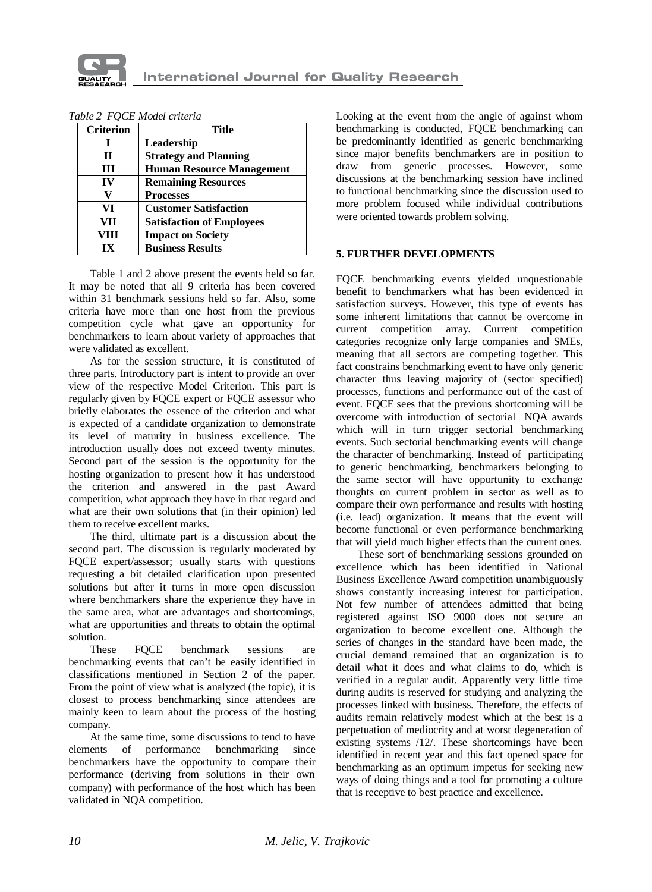

| <b>Criterion</b> | Title                            |  |  |  |  |
|------------------|----------------------------------|--|--|--|--|
|                  | Leadership                       |  |  |  |  |
| Н                | <b>Strategy and Planning</b>     |  |  |  |  |
| ш                | <b>Human Resource Management</b> |  |  |  |  |
| IV               | <b>Remaining Resources</b>       |  |  |  |  |
|                  | <b>Processes</b>                 |  |  |  |  |
| VI               | <b>Customer Satisfaction</b>     |  |  |  |  |
| VH               | <b>Satisfaction of Employees</b> |  |  |  |  |
| VIII             | <b>Impact on Society</b>         |  |  |  |  |
| īХ               | <b>Business Results</b>          |  |  |  |  |

*Table 2 FQCE Model criteria*

Table 1 and 2 above present the events held so far. It may be noted that all 9 criteria has been covered within 31 benchmark sessions held so far. Also, some criteria have more than one host from the previous competition cycle what gave an opportunity for benchmarkers to learn about variety of approaches that were validated as excellent.

As for the session structure, it is constituted of three parts. Introductory part is intent to provide an over view of the respective Model Criterion. This part is regularly given by FQCE expert or FQCE assessor who briefly elaborates the essence of the criterion and what is expected of a candidate organization to demonstrate its level of maturity in business excellence. The introduction usually does not exceed twenty minutes. Second part of the session is the opportunity for the hosting organization to present how it has understood the criterion and answered in the past Award competition, what approach they have in that regard and what are their own solutions that (in their opinion) led them to receive excellent marks.

The third, ultimate part is a discussion about the second part. The discussion is regularly moderated by FQCE expert/assessor; usually starts with questions requesting a bit detailed clarification upon presented solutions but after it turns in more open discussion where benchmarkers share the experience they have in the same area, what are advantages and shortcomings, what are opportunities and threats to obtain the optimal solution.

These FQCE benchmark sessions are benchmarking events that can't be easily identified in classifications mentioned in Section 2 of the paper. From the point of view what is analyzed (the topic), it is closest to process benchmarking since attendees are mainly keen to learn about the process of the hosting company.

At the same time, some discussions to tend to have elements of performance benchmarking since benchmarkers have the opportunity to compare their performance (deriving from solutions in their own company) with performance of the host which has been validated in NQA competition.

Looking at the event from the angle of against whom benchmarking is conducted, FQCE benchmarking can be predominantly identified as generic benchmarking since major benefits benchmarkers are in position to draw from generic processes. However, some discussions at the benchmarking session have inclined to functional benchmarking since the discussion used to more problem focused while individual contributions were oriented towards problem solving.

# **5. FURTHER DEVELOPMENTS**

FQCE benchmarking events yielded unquestionable benefit to benchmarkers what has been evidenced in satisfaction surveys. However, this type of events has some inherent limitations that cannot be overcome in current competition array. Current competition categories recognize only large companies and SMEs, meaning that all sectors are competing together. This fact constrains benchmarking event to have only generic character thus leaving majority of (sector specified) processes, functions and performance out of the cast of event. FQCE sees that the previous shortcoming will be overcome with introduction of sectorial NQA awards which will in turn trigger sectorial benchmarking events. Such sectorial benchmarking events will change the character of benchmarking. Instead of participating to generic benchmarking, benchmarkers belonging to the same sector will have opportunity to exchange thoughts on current problem in sector as well as to compare their own performance and results with hosting (i.e. lead) organization. It means that the event will become functional or even performance benchmarking that will yield much higher effects than the current ones.

These sort of benchmarking sessions grounded on excellence which has been identified in National Business Excellence Award competition unambiguously shows constantly increasing interest for participation. Not few number of attendees admitted that being registered against ISO 9000 does not secure an organization to become excellent one. Although the series of changes in the standard have been made, the crucial demand remained that an organization is to detail what it does and what claims to do, which is verified in a regular audit. Apparently very little time during audits is reserved for studying and analyzing the processes linked with business. Therefore, the effects of audits remain relatively modest which at the best is a perpetuation of mediocrity and at worst degeneration of existing systems /12/. These shortcomings have been identified in recent year and this fact opened space for benchmarking as an optimum impetus for seeking new ways of doing things and a tool for promoting a culture that is receptive to best practice and excellence.